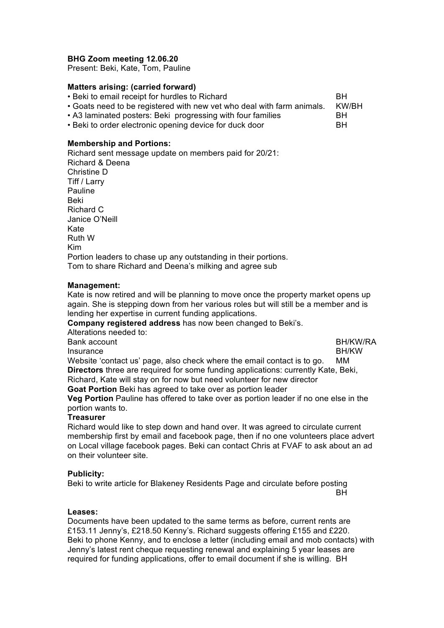## **BHG Zoom meeting 12.06.20**

Present: Beki, Kate, Tom, Pauline

### **Matters arising: (carried forward)**

|  | • Beki to email receipt for hurdles to Richard |  |  |  |  |              |
|--|------------------------------------------------|--|--|--|--|--------------|
|  |                                                |  |  |  |  | 1.71.1.171.1 |

• Goats need to be registered with new vet who deal with farm animals. KW/BH

• A3 laminated posters: Beki progressing with four families BH

• Beki to order electronic opening device for duck door BH

### **Membership and Portions:**

Richard sent message update on members paid for 20/21: Richard & Deena Christine D Tiff / Larry Pauline Beki Richard C Janice O'Neill Kate Ruth W Kim Portion leaders to chase up any outstanding in their portions. Tom to share Richard and Deena's milking and agree sub

### **Management:**

Kate is now retired and will be planning to move once the property market opens up again. She is stepping down from her various roles but will still be a member and is lending her expertise in current funding applications.

**Company registered address** has now been changed to Beki's.

| Company registered address has now been changed to bekis.                                   |                 |
|---------------------------------------------------------------------------------------------|-----------------|
| Alterations needed to:                                                                      |                 |
| Bank account                                                                                | <b>BH/KW/RA</b> |
| Insurance                                                                                   | <b>BH/KW</b>    |
| Website 'contact us' page, also check where the email contact is to go.                     | MМ              |
| <b>Directors</b> three are required for some funding applications: currently Kate, Beki,    |                 |
| Richard, Kate will stay on for now but need volunteer for new director                      |                 |
| Goat Portion Beki has agreed to take over as portion leader                                 |                 |
| <b>Veg Portion</b> Pauline has offered to take over as portion leader if no one else in the |                 |
| portion wants to.                                                                           |                 |
| <b>Treasurer</b>                                                                            |                 |
|                                                                                             |                 |

Richard would like to step down and hand over. It was agreed to circulate current membership first by email and facebook page, then if no one volunteers place advert on Local village facebook pages. Beki can contact Chris at FVAF to ask about an ad on their volunteer site.

### **Publicity:**

Beki to write article for Blakeney Residents Page and circulate before posting **BH** 

## **Leases:**

Documents have been updated to the same terms as before, current rents are £153.11 Jenny's, £218.50 Kenny's. Richard suggests offering £155 and £220. Beki to phone Kenny, and to enclose a letter (including email and mob contacts) with Jenny's latest rent cheque requesting renewal and explaining 5 year leases are required for funding applications, offer to email document if she is willing. BH